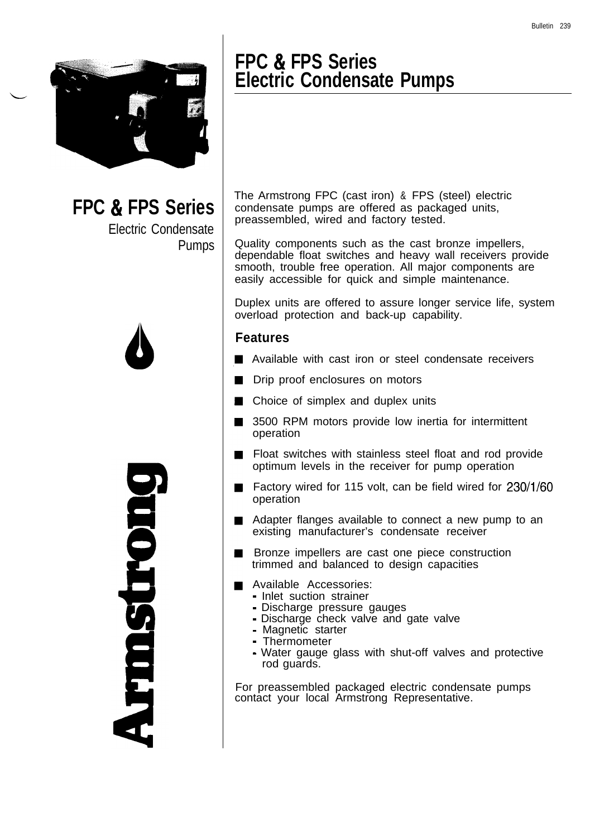

**FPC & FPS Series** Electric Condensate

Pumps



Duotisuru

### **FPC & FPS Series Electric Condensate Pumps**

The Armstrong FPC (cast iron) & FPS (steel) electric condensate pumps are offered as packaged units, preassembled, wired and factory tested.

Quality components such as the cast bronze impellers, dependable float switches and heavy wall receivers provide smooth, trouble free operation. All major components are easily accessible for quick and simple maintenance.

Duplex units are offered to assure longer service life, system overload protection and back-up capability.

### **Features**

- Available with cast iron or steel condensate receivers
- Drip proof enclosures on motors  $\blacksquare$
- Choice of simplex and duplex units
- 3500 RPM motors provide low inertia for intermittent  $\blacksquare$ operation
- Float switches with stainless steel float and rod provide  $\blacksquare$ optimum levels in the receiver for pump operation
- Factory wired for 115 volt, can be field wired for 230/1/60  $\blacksquare$ operation
- Adapter flanges available to connect a new pump to an existing manufacturer's condensate receiver
- Bronze impellers are cast one piece construction trimmed and balanced to design capacities
- Available Accessories:
	- Inlet suction strainer
	- Discharge pressure gauges
	- Discharge check valve and gate valve
	- Magnetic starter
	- Thermometer
	- Water gauge glass with shut-off valves and protective rod guards.

For preassembled packaged electric condensate pumps contact your local Armstrong Representative.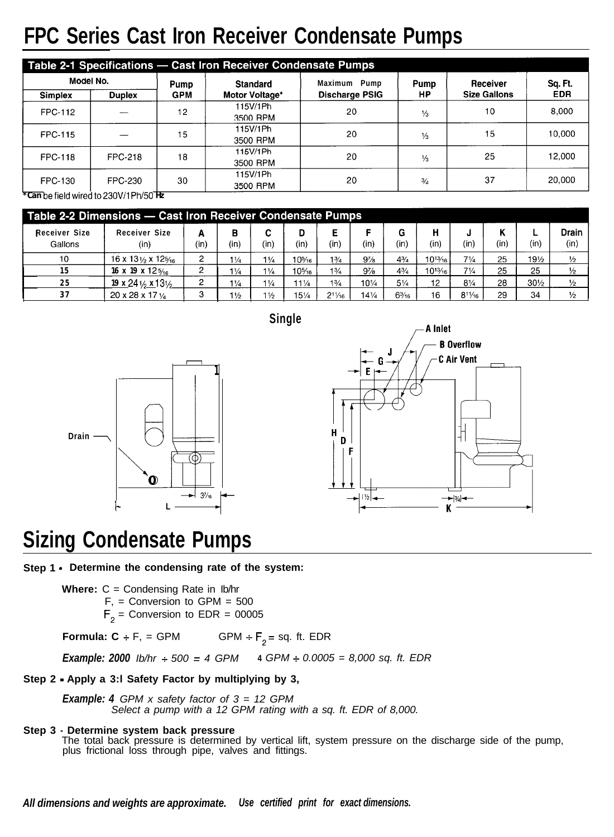# **FPC Series Cast Iron Receiver Condensate Pumps**

| Model No.                       |                                                                              | Pump                       | <b>Standard</b>      | Maximum<br>Pump       | Pump          | Receiver            | Sq. Ft.    |  |
|---------------------------------|------------------------------------------------------------------------------|----------------------------|----------------------|-----------------------|---------------|---------------------|------------|--|
| <b>Simplex</b><br><b>Duplex</b> |                                                                              | <b>GPM</b>                 | Motor Voltage*       | <b>Discharge PSIG</b> | НP            | <b>Size Gallons</b> | <b>EDR</b> |  |
| FPC-112                         |                                                                              | 12                         | 115V/1Ph<br>3500 RPM | 20                    | $\frac{1}{3}$ | 10                  | 8,000      |  |
| <b>FPC-115</b>                  |                                                                              | 15                         | 115V/1Ph<br>3500 RPM | 20                    | $\frac{1}{3}$ | 15                  | 10,000     |  |
| <b>FPC-118</b>                  | <b>FPC-218</b>                                                               | 18                         | 115V/1Ph<br>3500 RPM | 20                    | $\frac{1}{3}$ | 25                  | 12,000     |  |
| <b>FPC-130</b>                  | FPC-230<br>$\overline{AB}$ . $B = 1$ , $B = 1$ , $B = 0$ , $C = 0$ , $D = 1$ | 115V/1Ph<br>30<br>3500 RPM |                      | 20                    | $\frac{3}{4}$ | 37                  | 20,000     |  |

**\*Can befieldwiredto230V/lPh/50 Hz**

| Table 2-2 Dimensions - Cast Iron Receiver Condensate Pumps |                                           |           |                |                |                 |                |                 |                 |              |                |      |                 |                      |
|------------------------------------------------------------|-------------------------------------------|-----------|----------------|----------------|-----------------|----------------|-----------------|-----------------|--------------|----------------|------|-----------------|----------------------|
| Receiver Size<br>Gallons                                   | Receiver Size<br>(in)                     | А<br>(in) | в<br>(in)      | C<br>(in)      | (in)            | Е<br>(in'      | е<br>(in)       | G<br>(in)       | н<br>(in'    | (in)           | (in) | (in)            | <b>Drain</b><br>(in) |
| 10                                                         | 16 x 13 $\frac{1}{2}$ x 12 $\frac{5}{16}$ | 2         | $1\frac{1}{4}$ | $1\frac{1}{4}$ | 10%             | $1\frac{3}{4}$ | $9\%$           | $4^{3}/_{4}$    | $10^{13}/16$ | 71/4           | 25   | $19\frac{1}{2}$ | $\frac{1}{2}$        |
| 15                                                         | 16 x 19 x 12 $5/16$                       | 2         | $1\frac{1}{4}$ | $1\frac{1}{4}$ | 10%             | $1\frac{3}{4}$ | $9\frac{7}{8}$  | 43/4            | $10^{13}/16$ | $7\frac{1}{4}$ | 25   | 25              | $\frac{1}{2}$        |
| 25                                                         | 19 x 24 $\frac{1}{2}$ x 13 $\frac{1}{2}$  | 2         | $1\frac{1}{4}$ | $1\frac{1}{4}$ | 111⁄4           | 13/4           | $10\frac{1}{4}$ | $5\frac{1}{4}$  | 12           | $8\frac{1}{4}$ | 28   | $30\frac{1}{2}$ | $\frac{1}{2}$        |
| 37                                                         | $20 \times 28 \times 17$ $\frac{1}{4}$    | 3         | $1\frac{1}{2}$ | $1\frac{1}{2}$ | $15\frac{1}{4}$ | $2^{11}/16$    | $14\frac{1}{4}$ | $6\frac{3}{16}$ | 16           | $8^{11/16}$    | 29   | 34              | $\frac{1}{2}$        |

**Single**





## **Sizing Condensate Pumps**

**Step 1 - Determine the condensing rate of the system:**

**Where:**  $C =$  Condensing Rate in Ib/hr  $F<sub>1</sub> =$  Conversion to GPM = 500  $F_2$  = Conversion to EDR = 00005

**Formula: C** + F, = GPM GPM +  $F_2$  = sq. ft. EDR

*Example: 2000 Ib/hr +- 500 = 4 GPM* **4** *GPM + 0.0005 = 8,000 sq. ft. EDR*

### **Step 2 - Apply a 3:l Safety Factor by multiplying by 3,**

*Example: 4 GPM x safety factor of 3 = 12 GPM Select a pump with a 12 GPM rating with a sq. ft. EDR of 8,000.*

**Step 3 - Determine system back pressure**

The total back pressure is determined by vertical lift, system pressure on the discharge side of the pump, plus frictional loss through pipe, valves and fittings.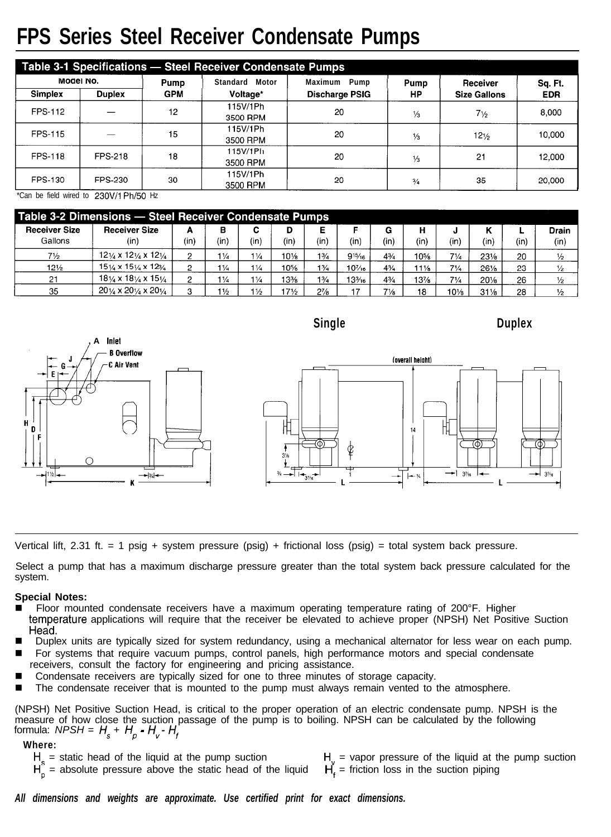## **FPS Series Steel Receiver Condensate Pumps**

| Table 3-1 Specifications - Steel Receiver Condensate Pumps |                |            |                      |                       |               |                     |            |  |  |  |  |  |
|------------------------------------------------------------|----------------|------------|----------------------|-----------------------|---------------|---------------------|------------|--|--|--|--|--|
| Model No.                                                  |                | Pump       | Standard Motor       | Maximum Pump          | Pump          | Receiver            | Sq. Ft.    |  |  |  |  |  |
| Simplex                                                    | <b>Duplex</b>  | <b>GPM</b> | Voltage*             | <b>Discharge PSIG</b> | HP            | <b>Size Gallons</b> | <b>EDR</b> |  |  |  |  |  |
| <b>FPS-112</b>                                             |                | 12         | 115V/1Ph<br>3500 RPM | 20                    | $\frac{1}{3}$ | $7\frac{1}{2}$      | 8.000      |  |  |  |  |  |
| <b>FPS-115</b>                                             |                | 15         | 115V/1Ph<br>3500 RPM | 20                    | $\frac{1}{3}$ | $12\frac{1}{2}$     | 10,000     |  |  |  |  |  |
| <b>FPS-118</b>                                             | <b>FPS-218</b> | 18         | 115V/1Ph<br>3500 RPM | 20                    | $\frac{1}{3}$ | 21                  | 12,000     |  |  |  |  |  |
| FPS-130                                                    | <b>FPS 230</b> | 30         | 115V/1Ph<br>3500 RPM | 20                    | $\frac{3}{4}$ | 35                  | 20,000     |  |  |  |  |  |

\*Can be field wired to 23OV/l Ph/50 Hz

| Table 3-2 Dimensions - Steel Receiver Condensate Pumps |                                                           |      |                |                |                 |                |                  |                |      |                |                 |      |               |
|--------------------------------------------------------|-----------------------------------------------------------|------|----------------|----------------|-----------------|----------------|------------------|----------------|------|----------------|-----------------|------|---------------|
| <b>Receiver Size</b>                                   | <b>Receiver Size</b>                                      | А    | в              | С              | D               |                |                  | G              | н    | J              |                 |      | Drain         |
| Gallons                                                | (in)                                                      | (in) | (in)           | (in)           | (in)            | (in            | (in)             | (in)           | (in) | (in)           | (in             | (in) | (in)          |
| $7\frac{1}{2}$                                         | $12\frac{1}{4}$ x $12\frac{1}{4}$ x $12\frac{1}{4}$       |      | $1\frac{1}{4}$ | $1\frac{1}{4}$ | 101⁄8           | 13/4           | $9^{15}/16$      | $4^{3}/_{4}$   | 10%  | $7\frac{1}{4}$ | 231/8           | 20   | $\frac{1}{2}$ |
| $12\frac{1}{2}$                                        | $15\frac{1}{4} \times 15\frac{1}{4} \times 12\frac{3}{4}$ | 2    | $1\frac{1}{4}$ | $1\frac{1}{4}$ | 10%             | $1\frac{3}{4}$ | $10^{7/16}$      | 43/4           | 11½  | $7\frac{1}{4}$ | 26%             | 23   | $\frac{1}{2}$ |
| 21                                                     | $18\frac{1}{4} \times 18\frac{1}{4} \times 15\frac{1}{4}$ | 2    | $1\frac{1}{4}$ | $1\frac{1}{4}$ | 13%             | $1\frac{3}{4}$ | $13\frac{3}{16}$ | $4\frac{3}{4}$ | 13%  | $7\frac{1}{4}$ | $20\%$          | 26   | $\frac{1}{2}$ |
| 35                                                     | $20\frac{1}{4} \times 20\frac{1}{4} \times 20\frac{1}{4}$ |      | $1\frac{1}{2}$ | $1\frac{1}{2}$ | $17\frac{1}{2}$ | $2\frac{7}{8}$ | - -              | $7\frac{1}{8}$ | 18   | 10%            | $31\frac{1}{8}$ | 28   | $\frac{1}{2}$ |



Vertical lift, 2.31 ft. = 1 psig + system pressure (psig) + frictional loss (psig) = total system back pressure.

Select a pump that has a maximum discharge pressure greater than the total system back pressure calculated for the system.

#### **Special Notes:**

- Floor mounted condensate receivers have a maximum operating temperature rating of 200°F. Higher temperature applications will require that the receiver be elevated to achieve proper (NPSH) Net Positive Suction Head.
- Duplex units are typically sized for system redundancy, using a mechanical alternator for less wear on each pump.
- For systems that require vacuum pumps, control panels, high performance motors and special condensate receivers, consult the factory for engineering and pricing assistance.
- Condensate receivers are typically sized for one to three minutes of storage capacity.
- **n** The condensate receiver that is mounted to the pump must always remain vented to the atmosphere.

(NPSH) Net Positive Suction Head, is critical to the proper operation of an electric condensate pump. NPSH is the measure of how close the suction passage of the pump is to boiling. NPSH can be calculated by the following formula: *NPSH = H, + HP - Hv- Hf*

#### **Where:**

 $H<sub>s</sub>$  = static head of the liquid at the pump suction  $H_{n}$  = absolute pressure above the static head of the liquid  $H_v$  = vapor pressure of the liquid at the pump suction  $H_t$  = friction loss in the suction piping

*All dimensions and weights are approximate. Use certified print for exact dimensions.*